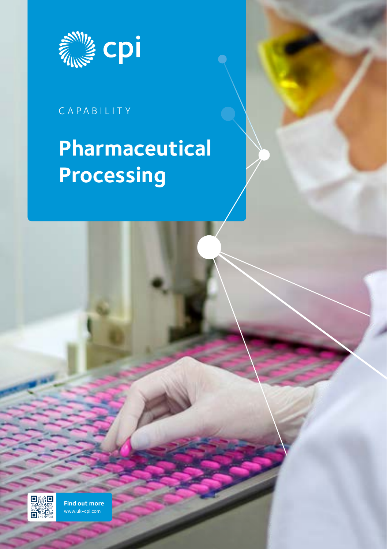

## CAPABILITY

# **Pharmaceutical Processing**



**[Find out more](https://hubs.ly/H0p7X_C0)** www.uk-cpi.com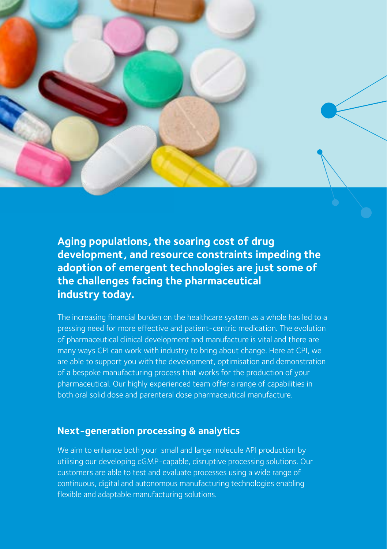

**Aging populations, the soaring cost of drug development, and resource constraints impeding the adoption of emergent technologies are just some of the challenges facing the pharmaceutical industry today.** 

The increasing financial burden on the healthcare system as a whole has led to a pressing need for more effective and patient-centric medication. The evolution of pharmaceutical clinical development and manufacture is vital and there are many ways CPI can work with industry to bring about change. Here at CPI, we are able to support you with the development, optimisation and demonstration of a bespoke manufacturing process that works for the production of your pharmaceutical. Our highly experienced team offer a range of capabilities in both oral solid dose and parenteral dose pharmaceutical manufacture.

#### **Next-generation processing & analytics**

We aim to enhance both your small and large molecule API production by utilising our developing cGMP-capable, disruptive processing solutions. Our customers are able to test and evaluate processes using a wide range of continuous, digital and autonomous manufacturing technologies enabling flexible and adaptable manufacturing solutions.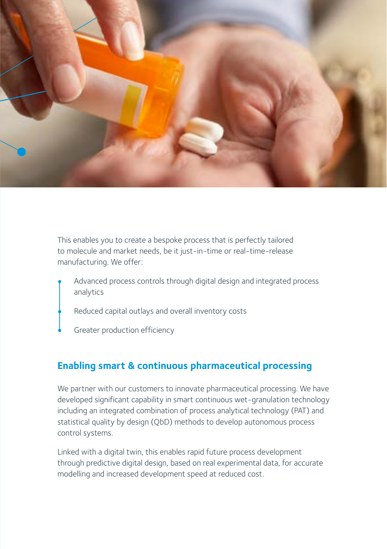

This enables you to create a bespoke process that is perfectly tailored to molecule and market needs, be it just-in-time or real-time-release manufacturing. We offer:

- Advanced process controls through digital design and integrated process analytics
	- Reduced capital outlays and overall inventory costs
	- Greater production efficiency

#### **Enabling smart & continuous pharmaceutical processing**

We partner with our customers to innovate pharmaceutical processing. We have developed significant capability in smart continuous wet-granulation technology including an integrated combination of process analytical technology (PAT) and statistical quality by design (QbD) methods to develop autonomous process control systems.

Linked with a digital twin, this enables rapid future process development through predictive digital design, based on real experimental data, for accurate modelling and increased development speed at reduced cost.